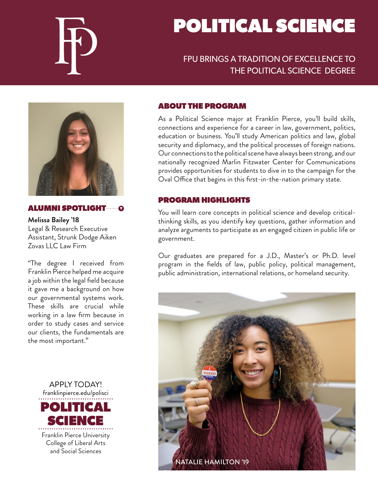

# POLITICAL SCIENCE

# FPU BRINGS A TRADITION OF EXCELLENCE TO THE POLITICAL SCIENCE DEGREE



#### ALUMNI SPOTLIGHT

**Melissa Bailey '18** Legal & Research Executive Assistant, Strunk Dodge Aiken Zovas LLC Law Firm

"The degree I received from Franklin Pierce helped me acquire a job within the legal field because it gave me a background on how our governmental systems work. These skills are crucial while working in a law firm because in order to study cases and service our clients, the fundamentals are the most important."



#### ABOUT THE PROGRAM

As a Political Science major at Franklin Pierce, you'll build skills, connections and experience for a career in law, government, politics, education or business. You'll study American politics and law, global security and diplomacy, and the political processes of foreign nations. Our connections to the political scene have always been strong, and our nationally recognized Marlin Fitzwater Center for Communications provides opportunities for students to dive in to the campaign for the Oval Office that begins in this first-in-the-nation primary state.

#### PROGRAM HIGHLIGHTS

You will learn core concepts in political science and develop criticalthinking skills, as you identify key questions, gather information and analyze arguments to participate as an engaged citizen in public life or government.

Our graduates are prepared for a J.D., Master's or Ph.D. level program in the fields of law, public policy, political management, public administration, international relations, or homeland security.